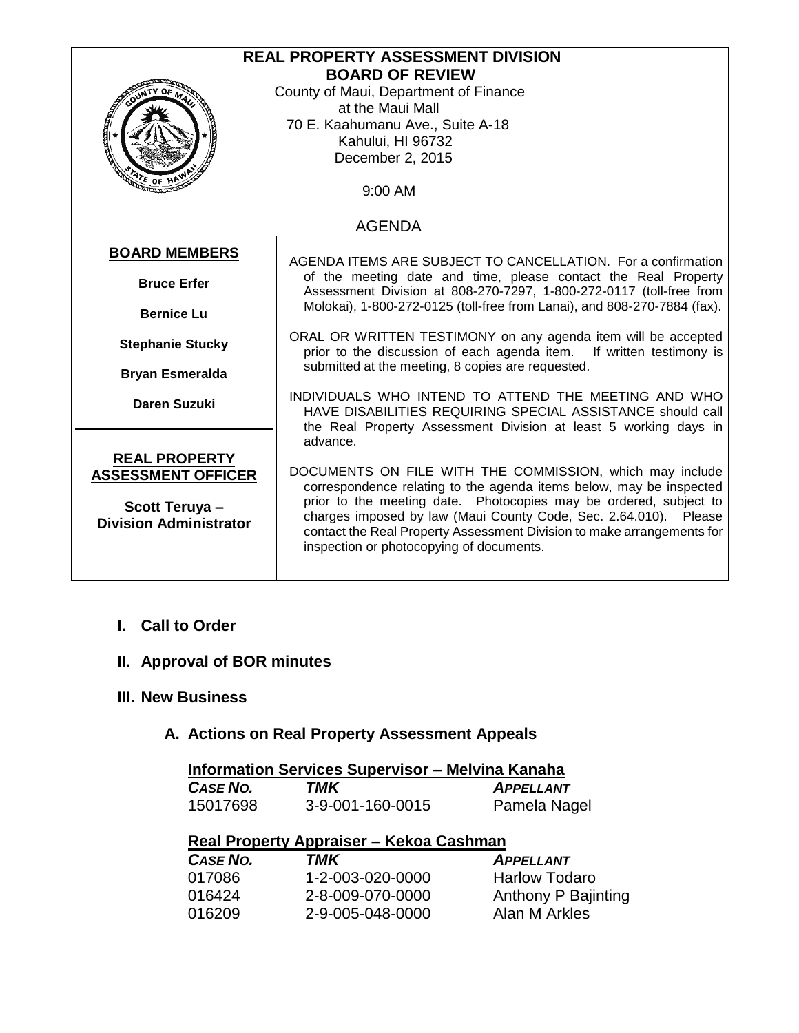| <b>REAL PROPERTY ASSESSMENT DIVISION</b> |                                                                                                                                                                                                                   |  |  |  |
|------------------------------------------|-------------------------------------------------------------------------------------------------------------------------------------------------------------------------------------------------------------------|--|--|--|
|                                          | <b>BOARD OF REVIEW</b>                                                                                                                                                                                            |  |  |  |
|                                          | County of Maui, Department of Finance                                                                                                                                                                             |  |  |  |
|                                          | at the Maui Mall                                                                                                                                                                                                  |  |  |  |
|                                          | 70 E. Kaahumanu Ave., Suite A-18                                                                                                                                                                                  |  |  |  |
|                                          | Kahului, HI 96732                                                                                                                                                                                                 |  |  |  |
|                                          | December 2, 2015                                                                                                                                                                                                  |  |  |  |
| $476$ OF HP                              |                                                                                                                                                                                                                   |  |  |  |
|                                          | 9:00 AM                                                                                                                                                                                                           |  |  |  |
|                                          |                                                                                                                                                                                                                   |  |  |  |
|                                          | <b>AGENDA</b>                                                                                                                                                                                                     |  |  |  |
| <b>BOARD MEMBERS</b>                     |                                                                                                                                                                                                                   |  |  |  |
|                                          | AGENDA ITEMS ARE SUBJECT TO CANCELLATION. For a confirmation                                                                                                                                                      |  |  |  |
| <b>Bruce Erfer</b>                       | of the meeting date and time, please contact the Real Property<br>Assessment Division at 808-270-7297, 1-800-272-0117 (toll-free from<br>Molokai), 1-800-272-0125 (toll-free from Lanai), and 808-270-7884 (fax). |  |  |  |
|                                          |                                                                                                                                                                                                                   |  |  |  |
| <b>Bernice Lu</b>                        |                                                                                                                                                                                                                   |  |  |  |
| <b>Stephanie Stucky</b>                  | ORAL OR WRITTEN TESTIMONY on any agenda item will be accepted                                                                                                                                                     |  |  |  |
|                                          | prior to the discussion of each agenda item.<br>If written testimony is<br>submitted at the meeting, 8 copies are requested.                                                                                      |  |  |  |
| <b>Bryan Esmeralda</b>                   |                                                                                                                                                                                                                   |  |  |  |
|                                          | INDIVIDUALS WHO INTEND TO ATTEND THE MEETING AND WHO                                                                                                                                                              |  |  |  |
| <b>Daren Suzuki</b>                      | HAVE DISABILITIES REQUIRING SPECIAL ASSISTANCE should call                                                                                                                                                        |  |  |  |
|                                          | the Real Property Assessment Division at least 5 working days in                                                                                                                                                  |  |  |  |
|                                          | advance.                                                                                                                                                                                                          |  |  |  |
| <b>REAL PROPERTY</b>                     |                                                                                                                                                                                                                   |  |  |  |
| <b>ASSESSMENT OFFICER</b>                | DOCUMENTS ON FILE WITH THE COMMISSION, which may include                                                                                                                                                          |  |  |  |
|                                          | correspondence relating to the agenda items below, may be inspected                                                                                                                                               |  |  |  |
| <b>Scott Teruya-</b>                     | prior to the meeting date. Photocopies may be ordered, subject to                                                                                                                                                 |  |  |  |
| <b>Division Administrator</b>            | charges imposed by law (Maui County Code, Sec. 2.64.010). Please                                                                                                                                                  |  |  |  |
|                                          | contact the Real Property Assessment Division to make arrangements for<br>inspection or photocopying of documents.                                                                                                |  |  |  |
|                                          |                                                                                                                                                                                                                   |  |  |  |
|                                          |                                                                                                                                                                                                                   |  |  |  |

# **I. Call to Order**

# **II. Approval of BOR minutes**

## **III. New Business**

# **A. Actions on Real Property Assessment Appeals**

| <b>Information Services Supervisor - Melvina Kanaha</b> |                                         |                      |  |  |
|---------------------------------------------------------|-----------------------------------------|----------------------|--|--|
| CASE NO.                                                | TMK                                     | <b>APPELLANT</b>     |  |  |
| 15017698                                                | 3-9-001-160-0015                        | Pamela Nagel         |  |  |
|                                                         | Real Property Appraiser – Kekoa Cashman |                      |  |  |
| <b>CASE NO.</b>                                         | TMK                                     | <b>APPELLANT</b>     |  |  |
| 017086                                                  | 1-2-003-020-0000                        | <b>Harlow Todaro</b> |  |  |
| 016424                                                  | 2-8-009-070-0000                        | Anthony P Bajinting  |  |  |
| 016209                                                  | 2-9-005-048-0000                        | Alan M Arkles        |  |  |